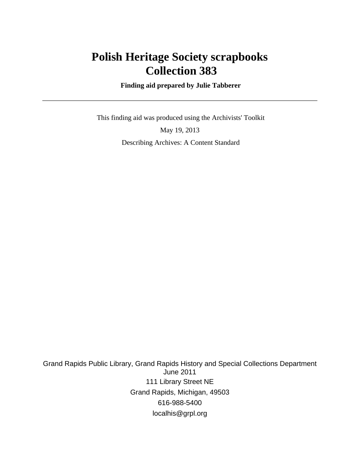## **Polish Heritage Society scrapbooks Collection 383**

 **Finding aid prepared by Julie Tabberer**

 This finding aid was produced using the Archivists' Toolkit May 19, 2013 Describing Archives: A Content Standard

Grand Rapids Public Library, Grand Rapids History and Special Collections Department June 2011 111 Library Street NE Grand Rapids, Michigan, 49503 616-988-5400 localhis@grpl.org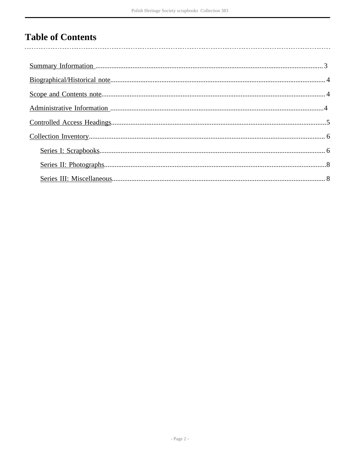# **Table of Contents**

 $\overline{\phantom{a}}$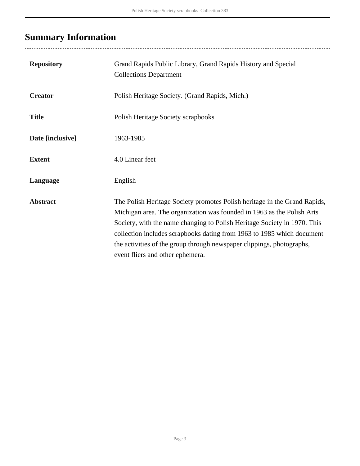# <span id="page-2-0"></span>**Summary Information**

| <b>Repository</b> | Grand Rapids Public Library, Grand Rapids History and Special<br><b>Collections Department</b>                                                                                                                                                                                                                                                                                                                         |
|-------------------|------------------------------------------------------------------------------------------------------------------------------------------------------------------------------------------------------------------------------------------------------------------------------------------------------------------------------------------------------------------------------------------------------------------------|
| <b>Creator</b>    | Polish Heritage Society. (Grand Rapids, Mich.)                                                                                                                                                                                                                                                                                                                                                                         |
| <b>Title</b>      | Polish Heritage Society scrapbooks                                                                                                                                                                                                                                                                                                                                                                                     |
| Date [inclusive]  | 1963-1985                                                                                                                                                                                                                                                                                                                                                                                                              |
| <b>Extent</b>     | 4.0 Linear feet                                                                                                                                                                                                                                                                                                                                                                                                        |
| Language          | English                                                                                                                                                                                                                                                                                                                                                                                                                |
| <b>Abstract</b>   | The Polish Heritage Society promotes Polish heritage in the Grand Rapids,<br>Michigan area. The organization was founded in 1963 as the Polish Arts<br>Society, with the name changing to Polish Heritage Society in 1970. This<br>collection includes scrapbooks dating from 1963 to 1985 which document<br>the activities of the group through newspaper clippings, photographs,<br>event fliers and other ephemera. |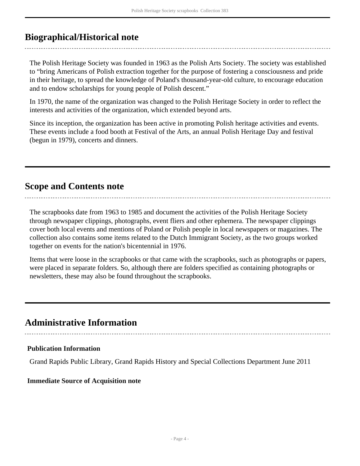### <span id="page-3-0"></span>**Biographical/Historical note**

The Polish Heritage Society was founded in 1963 as the Polish Arts Society. The society was established to "bring Americans of Polish extraction together for the purpose of fostering a consciousness and pride in their heritage, to spread the knowledge of Poland's thousand-year-old culture, to encourage education and to endow scholarships for young people of Polish descent."

In 1970, the name of the organization was changed to the Polish Heritage Society in order to reflect the interests and activities of the organization, which extended beyond arts.

Since its inception, the organization has been active in promoting Polish heritage activities and events. These events include a food booth at Festival of the Arts, an annual Polish Heritage Day and festival (begun in 1979), concerts and dinners.

### <span id="page-3-1"></span>**Scope and Contents note**

The scrapbooks date from 1963 to 1985 and document the activities of the Polish Heritage Society through newspaper clippings, photographs, event fliers and other ephemera. The newspaper clippings cover both local events and mentions of Poland or Polish people in local newspapers or magazines. The collection also contains some items related to the Dutch Immigrant Society, as the two groups worked together on events for the nation's bicentennial in 1976.

Items that were loose in the scrapbooks or that came with the scrapbooks, such as photographs or papers, were placed in separate folders. So, although there are folders specified as containing photographs or newsletters, these may also be found throughout the scrapbooks.

### <span id="page-3-2"></span>**Administrative Information**

#### **Publication Information**

Grand Rapids Public Library, Grand Rapids History and Special Collections Department June 2011

#### **Immediate Source of Acquisition note**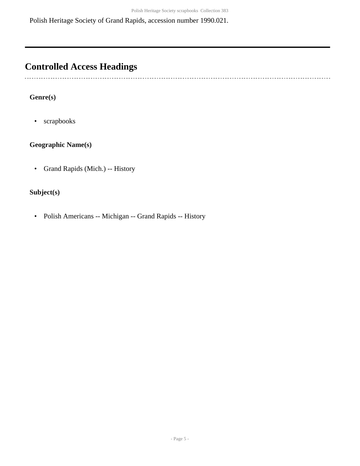Polish Heritage Society of Grand Rapids, accession number 1990.021.

### <span id="page-4-0"></span>**Controlled Access Headings**

. . . . . . . . .

#### **Genre(s)**

• scrapbooks

#### **Geographic Name(s)**

• Grand Rapids (Mich.) -- History

#### **Subject(s)**

• Polish Americans -- Michigan -- Grand Rapids -- History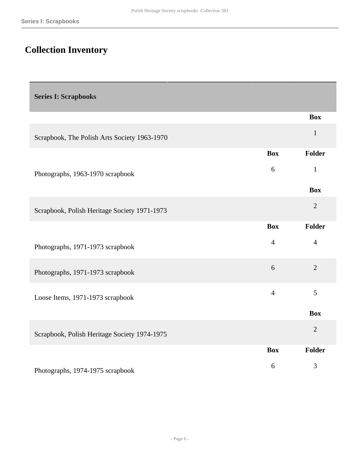# <span id="page-5-0"></span>**Collection Inventory**

<span id="page-5-1"></span>

| <b>Series I: Scrapbooks</b> |  |
|-----------------------------|--|
|-----------------------------|--|

|                                              |                | <b>Box</b>     |
|----------------------------------------------|----------------|----------------|
| Scrapbook, The Polish Arts Society 1963-1970 |                | $\mathbf{1}$   |
|                                              | <b>Box</b>     | Folder         |
| Photographs, 1963-1970 scrapbook             | 6              | $\mathbf{1}$   |
|                                              |                | <b>Box</b>     |
| Scrapbook, Polish Heritage Society 1971-1973 |                | $\overline{2}$ |
|                                              | <b>Box</b>     | <b>Folder</b>  |
| Photographs, 1971-1973 scrapbook             | $\overline{4}$ | $\overline{4}$ |
| Photographs, 1971-1973 scrapbook             | 6              | $\overline{2}$ |
| Loose Items, 1971-1973 scrapbook             | $\overline{4}$ | 5              |
|                                              |                | <b>Box</b>     |
| Scrapbook, Polish Heritage Society 1974-1975 |                | $\overline{2}$ |
|                                              | <b>Box</b>     | Folder         |
| Photographs, 1974-1975 scrapbook             | 6              | $\mathfrak{Z}$ |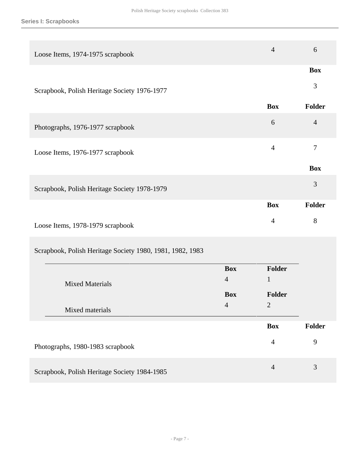| Loose Items, 1974-1975 scrapbook             | $\overline{4}$ | 6              |
|----------------------------------------------|----------------|----------------|
|                                              |                | <b>Box</b>     |
| Scrapbook, Polish Heritage Society 1976-1977 |                | 3              |
|                                              | <b>Box</b>     | <b>Folder</b>  |
| Photographs, 1976-1977 scrapbook             | 6              | $\overline{4}$ |
| Loose Items, 1976-1977 scrapbook             | $\overline{4}$ | $\overline{7}$ |
|                                              |                | <b>Box</b>     |
| Scrapbook, Polish Heritage Society 1978-1979 |                | 3              |
|                                              | <b>Box</b>     | <b>Folder</b>  |
| Loose Items, 1978-1979 scrapbook             | $\overline{4}$ | 8              |
|                                              |                |                |

Scrapbook, Polish Heritage Society 1980, 1981, 1982, 1983

| <b>Mixed Materials</b><br>Mixed materials    | <b>Box</b><br>$\overline{4}$<br><b>Box</b><br>$\overline{4}$ | <b>Folder</b><br>1<br><b>Folder</b><br>$\overline{2}$ |        |
|----------------------------------------------|--------------------------------------------------------------|-------------------------------------------------------|--------|
|                                              |                                                              | <b>Box</b>                                            | Folder |
| Photographs, 1980-1983 scrapbook             |                                                              | $\overline{4}$                                        | 9      |
| Scrapbook, Polish Heritage Society 1984-1985 |                                                              | $\overline{4}$                                        | 3      |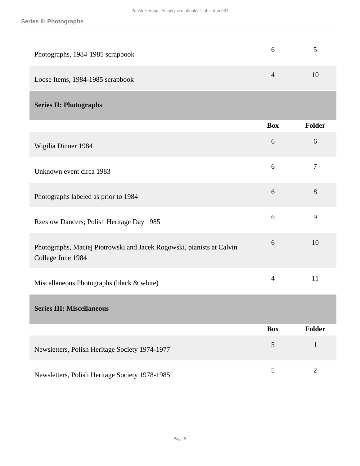<span id="page-7-1"></span><span id="page-7-0"></span>

| Photographs, 1984-1985 scrapbook                                                           | 6              | 5              |
|--------------------------------------------------------------------------------------------|----------------|----------------|
| Loose Items, 1984-1985 scrapbook                                                           | $\overline{4}$ | 10             |
| <b>Series II: Photographs</b>                                                              |                |                |
|                                                                                            | <b>Box</b>     | Folder         |
| Wigilia Dinner 1984                                                                        | 6              | 6              |
| Unknown event circa 1983                                                                   | 6              | $\overline{7}$ |
| Photographs labeled as prior to 1984                                                       | 6              | 8              |
| Rzeslow Dancers; Polish Heritage Day 1985                                                  | 6              | 9              |
| Photographs, Maciej Piotrowski and Jacek Rogowski, pianists at Calvin<br>College June 1984 | 6              | 10             |
| Miscellaneous Photographs (black & white)                                                  | $\overline{4}$ | 11             |
| <b>Series III: Miscellaneous</b>                                                           |                |                |
|                                                                                            | <b>Box</b>     | Folder         |
| Newsletters, Polish Heritage Society 1974-1977                                             | $\overline{5}$ | $\mathbf{1}$   |
| Newsletters, Polish Heritage Society 1978-1985                                             | 5              | $\overline{2}$ |